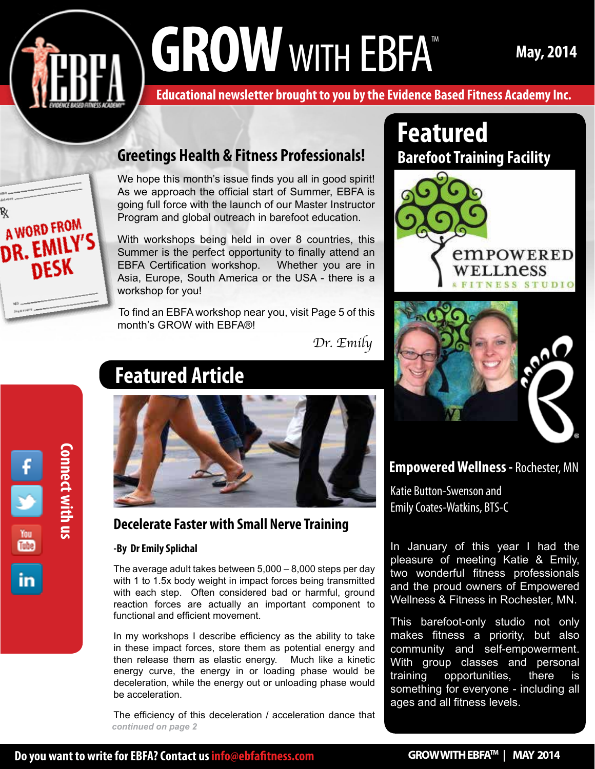# GROW WITH EBFA<sup>TM</sup> May, 2014

**Educational newsletter brought to you by the Evidence Based Fitness Academy Inc.** 

### **Greetings Health & Fitness Professionals!**

We hope this month's issue finds you all in good spirit! As we approach the official start of Summer, EBFA is going full force with the launch of our Master Instructor Program and global outreach in barefoot education.

With workshops being held in over 8 countries, this Summer is the perfect opportunity to finally attend an EBFA Certification workshop. Whether you are in Asia, Europe, South America or the USA - there is a workshop for you!

To find an EBFA workshop near you, visit Page 5 of this month's GROW with EBFA®!

*Dr. Emily*



A WORD FROM

**DESK** 

DR. EMI

## **Featured Article**



### **Decelerate Faster with Small Nerve Training**

#### **-By Dr Emily Splichal**

The average adult takes between 5,000 – 8,000 steps per day with 1 to 1.5x body weight in impact forces being transmitted with each step. Often considered bad or harmful, ground reaction forces are actually an important component to functional and efficient movement.

In my workshops I describe efficiency as the ability to take in these impact forces, store them as potential energy and then release them as elastic energy. Much like a kinetic energy curve, the energy in or loading phase would be deceleration, while the energy out or unloading phase would be acceleration.

The efficiency of this deceleration / acceleration dance that *continued on page 2*

## » **Featured Barefoot Training Facility**





**Empowered Wellness -** Rochester, MN

Katie Button-Swenson and Emily Coates-Watkins, BTS-C

In January of this year I had the pleasure of meeting Katie & Emily, two wonderful fitness professionals and the proud owners of Empowered Wellness & Fitness in Rochester, MN.

This barefoot-only studio not only makes fitness a priority, but also community and self-empowerment. With group classes and personal training opportunities, there is something for everyone - including all ages and all fitness levels.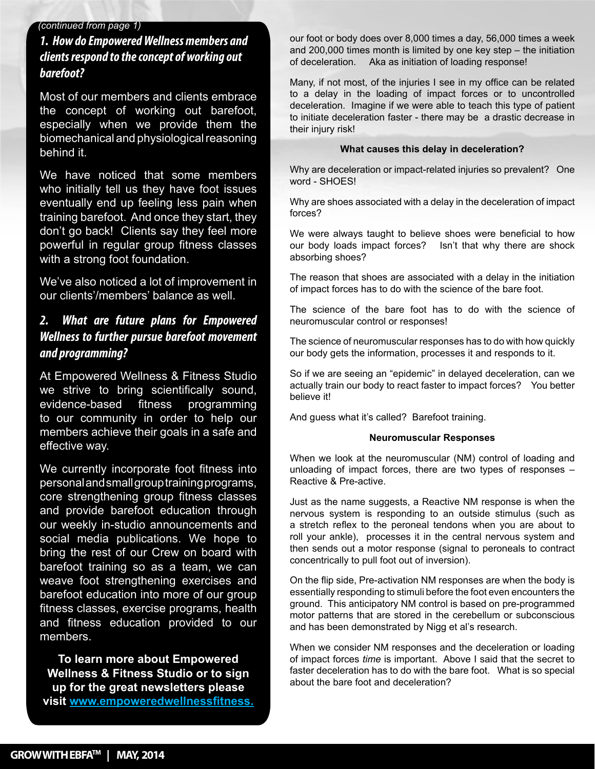#### *(continued from page 1)*

#### *1. How do Empowered Wellness members and clients respond to the concept of working out barefoot?*

Most of our members and clients embrace the concept of working out barefoot, especially when we provide them the biomechanical and physiological reasoning behind it.

We have noticed that some members eventually end up feeling less pain when » don't go back! Clients say they feel more » with a strong foot foundation. who initially tell us they have foot issues training barefoot. And once they start, they powerful in regular group fitness classes

» We've also noticed a lot of improvement in our clients'/members' balance as well.

#### *2. What are future plans for Empowered Wellness to further pursue barefoot movement and programming?*

At Empowered Wellness & Fitness Studio we strive to bring scientifically sound, evidence-based fitness programming to our community in order to help our members achieve their goals in a safe and effective way.

We currently incorporate foot fitness into personal and small group training programs, core strengthening group fitness classes and provide barefoot education through our weekly in-studio announcements and social media publications. We hope to bring the rest of our Crew on board with barefoot training so as a team, we can weave foot strengthening exercises and barefoot education into more of our group fitness classes, exercise programs, health and fitness education provided to our members.

**To learn more about Empowered Wellness & Fitness Studio or to sign up for the great newsletters please visit www.empoweredwellnessfitness.** our foot or body does over 8,000 times a day, 56,000 times a week and 200,000 times month is limited by one key step – the initiation of deceleration. Aka as initiation of loading response!

Many, if not most, of the injuries I see in my office can be related to a delay in the loading of impact forces or to uncontrolled deceleration. Imagine if we were able to teach this type of patient to initiate deceleration faster - there may be a drastic decrease in their injury risk!

#### **What causes this delay in deceleration?**

Why are deceleration or impact-related injuries so prevalent? One word - SHOES!

Why are shoes associated with a delay in the deceleration of impact forces?

We were always taught to believe shoes were beneficial to how our body loads impact forces? Isn't that why there are shock absorbing shoes?

The reason that shoes are associated with a delay in the initiation of impact forces has to do with the science of the bare foot.

The science of the bare foot has to do with the science of neuromuscular control or responses!

The science of neuromuscular responses has to do with how quickly our body gets the information, processes it and responds to it.

So if we are seeing an "epidemic" in delayed deceleration, can we actually train our body to react faster to impact forces? You better believe it!

And guess what it's called? Barefoot training.

#### **Neuromuscular Responses**

When we look at the neuromuscular (NM) control of loading and unloading of impact forces, there are two types of responses – Reactive & Pre-active.

Just as the name suggests, a Reactive NM response is when the nervous system is responding to an outside stimulus (such as a stretch reflex to the peroneal tendons when you are about to roll your ankle), processes it in the central nervous system and then sends out a motor response (signal to peroneals to contract concentrically to pull foot out of inversion).

On the flip side, Pre-activation NM responses are when the body is essentially responding to stimuli before the foot even encounters the ground. This anticipatory NM control is based on pre-programmed motor patterns that are stored in the cerebellum or subconscious and has been demonstrated by Nigg et al's research.

When we consider NM responses and the deceleration or loading of impact forces *time* is important. Above I said that the secret to faster deceleration has to do with the bare foot. What is so special about the bare foot and deceleration?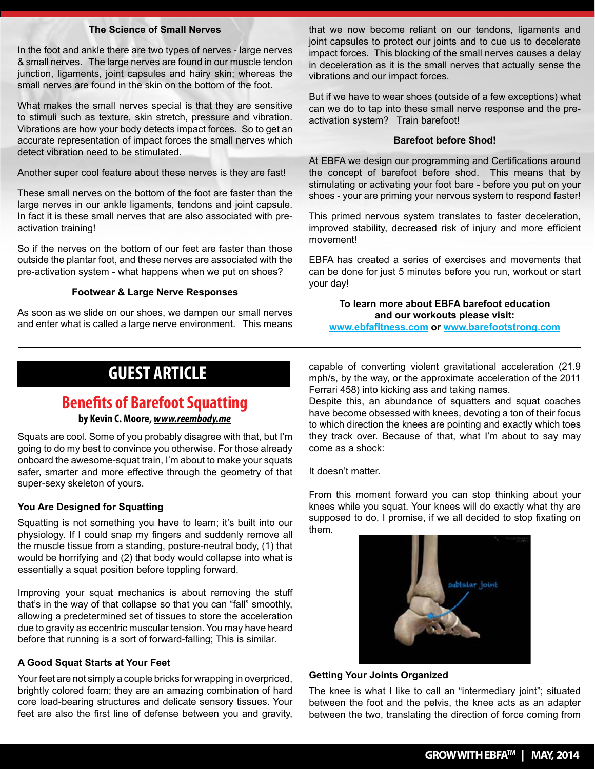#### **The Science of Small Nerves**

In the foot and ankle there are two types of nerves - large nerves & small nerves. The large nerves are found in our muscle tendon junction, ligaments, joint capsules and hairy skin; whereas the small nerves are found in the skin on the bottom of the foot.

What makes the small nerves special is that they are sensitive to stimuli such as texture, skin stretch, pressure and vibration. Vibrations are how your body detects impact forces. So to get an accurate representation of impact forces the small nerves which detect vibration need to be stimulated.

Another super cool feature about these nerves is they are fast!

These small nerves on the bottom of the foot are faster than the large nerves in our ankle ligaments, tendons and joint capsule. In fact it is these small nerves that are also associated with preactivation training!

So if the nerves on the bottom of our feet are faster than those outside the plantar foot, and these nerves are associated with the pre-activation system - what happens when we put on shoes?

#### **Footwear & Large Nerve Responses**

As soon as we slide on our shoes, we dampen our small nerves and enter what is called a large nerve environment. This means

that we now become reliant on our tendons, ligaments and joint capsules to protect our joints and to cue us to decelerate impact forces. This blocking of the small nerves causes a delay in deceleration as it is the small nerves that actually sense the vibrations and our impact forces.

But if we have to wear shoes (outside of a few exceptions) what can we do to tap into these small nerve response and the preactivation system? Train barefoot!

#### **Barefoot before Shod!**

At EBFA we design our programming and Certifications around the concept of barefoot before shod. This means that by stimulating or activating your foot bare - before you put on your shoes - your are priming your nervous system to respond faster!

This primed nervous system translates to faster deceleration, improved stability, decreased risk of injury and more efficient movement!

EBFA has created a series of exercises and movements that can be done for just 5 minutes before you run, workout or start your day!

#### **To learn more about EBFA barefoot education and our workouts please visit:**

**www.ebfafitness.com or www.barefootstrong.com**

## **Guest Article GUEST ARTICLE**

### **Benefits of Barefoot Squatting**

#### **by Kevin C. Moore,** *www.reembody.me*

Squats are cool. Some of you probably disagree with that, but I'm going to do my best to convince you otherwise. For those already onboard the awesome-squat train, I'm about to make your squats safer, smarter and more effective through the geometry of that super-sexy skeleton of yours.

#### **You Are Designed for Squatting**

Squatting is not something you have to learn; it's built into our physiology. If I could snap my fingers and suddenly remove all the muscle tissue from a standing, posture-neutral body, (1) that would be horrifying and (2) that body would collapse into what is essentially a squat position before toppling forward.

Improving your squat mechanics is about removing the stuff that's in the way of that collapse so that you can "fall" smoothly, allowing a predetermined set of tissues to store the acceleration due to gravity as eccentric muscular tension. You may have heard before that running is a sort of forward-falling; This is similar.

#### **A Good Squat Starts at Your Feet**

Your feet are not simply a couple bricks for wrapping in overpriced, brightly colored foam; they are an amazing combination of hard core load-bearing structures and delicate sensory tissues. Your feet are also the first line of defense between you and gravity, capable of converting violent gravitational acceleration (21.9 mph/s, by the way, or the approximate acceleration of the 2011 Ferrari 458) into kicking ass and taking names.

Despite this, an abundance of squatters and squat coaches have become obsessed with knees, devoting a ton of their focus to which direction the knees are pointing and exactly which toes they track over. Because of that, what I'm about to say may come as a shock:

It doesn't matter.

From this moment forward you can stop thinking about your knees while you squat. Your knees will do exactly what thy are supposed to do, I promise, if we all decided to stop fixating on them.



#### **Getting Your Joints Organized**

The knee is what I like to call an "intermediary joint"; situated between the foot and the pelvis, the knee acts as an adapter between the two, translating the direction of force coming from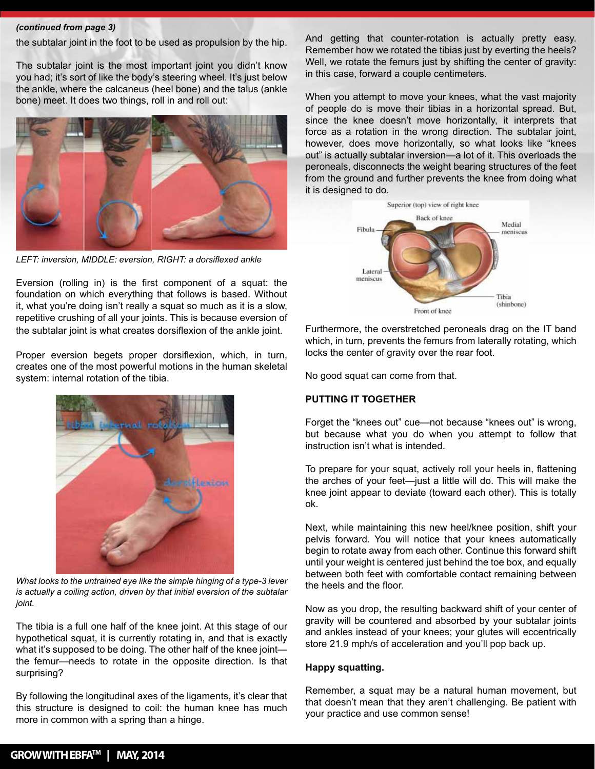#### *(continued from page 3)*

the subtalar joint in the foot to be used as propulsion by the hip.

The subtalar joint is the most important joint you didn't know you had; it's sort of like the body's steering wheel. It's just below the ankle, where the calcaneus (heel bone) and the talus (ankle bone) meet. It does two things, roll in and roll out:



*LEFT: inversion, MIDDLE: eversion, RIGHT: a dorsiflexed ankle* 

Eversion (rolling in) is the first component of a squat: the foundation on which everything that follows is based. Without it, what you're doing isn't really a squat so much as it is a slow, repetitive crushing of all your joints. This is because eversion of the subtalar joint is what creates dorsiflexion of the ankle joint.

Proper eversion begets proper dorsiflexion, which, in turn, creates one of the most powerful motions in the human skeletal system: internal rotation of the tibia.



*What looks to the untrained eye like the simple hinging of a type-3 lever is actually a coiling action, driven by that initial eversion of the subtalar joint.*

The tibia is a full one half of the knee joint. At this stage of our hypothetical squat, it is currently rotating in, and that is exactly what it's supposed to be doing. The other half of the knee joint the femur—needs to rotate in the opposite direction. Is that surprising?

By following the longitudinal axes of the ligaments, it's clear that this structure is designed to coil: the human knee has much more in common with a spring than a hinge.

And getting that counter-rotation is actually pretty easy. Remember how we rotated the tibias just by everting the heels? Well, we rotate the femurs just by shifting the center of gravity: in this case, forward a couple centimeters.

When you attempt to move your knees, what the vast majority of people do is move their tibias in a horizontal spread. But, since the knee doesn't move horizontally, it interprets that force as a rotation in the wrong direction. The subtalar joint, however, does move horizontally, so what looks like "knees out" is actually subtalar inversion—a lot of it. This overloads the peroneals, disconnects the weight bearing structures of the feet from the ground and further prevents the knee from doing what it is designed to do.



Furthermore, the overstretched peroneals drag on the IT band which, in turn, prevents the femurs from laterally rotating, which locks the center of gravity over the rear foot.

No good squat can come from that.

#### **PUTTING IT TOGETHER**

Forget the "knees out" cue—not because "knees out" is wrong, but because what you do when you attempt to follow that instruction isn't what is intended.

To prepare for your squat, actively roll your heels in, flattening the arches of your feet—just a little will do. This will make the knee joint appear to deviate (toward each other). This is totally ok.

Next, while maintaining this new heel/knee position, shift your pelvis forward. You will notice that your knees automatically begin to rotate away from each other. Continue this forward shift until your weight is centered just behind the toe box, and equally between both feet with comfortable contact remaining between the heels and the floor.

Now as you drop, the resulting backward shift of your center of gravity will be countered and absorbed by your subtalar joints and ankles instead of your knees; your glutes will eccentrically store 21.9 mph/s of acceleration and you'll pop back up.

#### **Happy squatting.**

Remember, a squat may be a natural human movement, but that doesn't mean that they aren't challenging. Be patient with your practice and use common sense!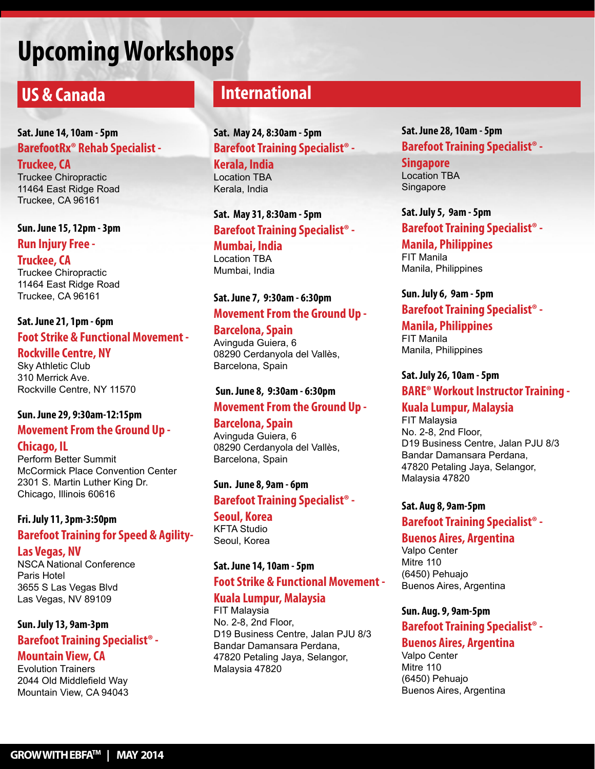## **Upcoming Workshops**

## **US & Canada**

#### **Sat. June 14, 10am - 5pm BarefootRx® Rehab Specialist - Truckee, CA**

Truckee Chiropractic 11464 East Ridge Road Truckee, CA 96161

**Sun. June 15, 12pm - 3pm Run Injury Free -**

**Truckee, CA** Truckee Chiropractic 11464 East Ridge Road Truckee, CA 96161

#### **Sat. June 21, 1pm - 6pm Foot Strike & Functional Movement -**

**Rockville Centre, NY** Sky Athletic Club

310 Merrick Ave. Rockville Centre, NY 11570

#### **Sun. June 29, 9:30am-12:15pm**

### **Movement From the Ground Up -**

**Chicago, IL**

Perform Better Summit McCormick Place Convention Center 2301 S. Martin Luther King Dr. Chicago, Illinois 60616

#### **Fri. July 11, 3pm-3:50pm Barefoot Training for Speed & Agility-**

#### **Las Vegas, NV**

NSCA National Conference Paris Hotel 3655 S Las Vegas Blvd Las Vegas, NV 89109

#### **Sun. July 13, 9am-3pm Barefoot Training Specialist® -**

#### **Mountain View, CA**

Evolution Trainers 2044 Old Middlefield Way Mountain View, CA 94043

## **International**

**Sat. May 24, 8:30am - 5pm Barefoot Training Specialist® - Kerala, India** Location TBA Kerala, India

**Sat. May 31, 8:30am - 5pm Barefoot Training Specialist® - Mumbai, India** Location TBA Mumbai, India

#### **Sat. June 7, 9:30am - 6:30pm Movement From the Ground Up -**

**Barcelona, Spain** Avinguda Guiera, 6 08290 Cerdanyola del Vallès, Barcelona, Spain

#### **Sun. June 8, 9:30am - 6:30pm Movement From the Ground Up -**

**Barcelona, Spain** Avinguda Guiera, 6 08290 Cerdanyola del Vallès, Barcelona, Spain

#### **Sun. June 8, 9am - 6pm Barefoot Training Specialist® -**

**Seoul, Korea** KFTA Studio Seoul, Korea

#### **Sat. June 14, 10am - 5pm**

#### **Foot Strike & Functional Movement -**

#### **Kuala Lumpur, Malaysia**

FIT Malaysia No. 2-8, 2nd Floor, D19 Business Centre, Jalan PJU 8/3 Bandar Damansara Perdana, 47820 Petaling Jaya, Selangor, Malaysia 47820

#### **Sat. June 28, 10am - 5pm Barefoot Training Specialist® -**

**Singapore** Location TBA Singapore

**Sat. July 5, 9am - 5pm Barefoot Training Specialist® -** 

**Manila, Philippines** FIT Manila Manila, Philippines

#### **Sun. July 6, 9am - 5pm Barefoot Training Specialist® -**

**Manila, Philippines** FIT Manila Manila, Philippines

**Sat. July 26, 10am - 5pm BARE® Workout Instructor Training -** 

#### **Kuala Lumpur, Malaysia**

FIT Malaysia No. 2-8, 2nd Floor, D19 Business Centre, Jalan PJU 8/3 Bandar Damansara Perdana, 47820 Petaling Jaya, Selangor, Malaysia 47820

#### **Sat. Aug 8, 9am-5pm**

#### **Barefoot Training Specialist® -**

#### **Buenos Aires, Argentina**

Valpo Center Mitre 110 (6450) Pehuajo Buenos Aires, Argentina

#### **Sun. Aug. 9, 9am-5pm**

### **Barefoot Training Specialist® -**

#### **Buenos Aires, Argentina**

Valpo Center Mitre 110 (6450) Pehuajo Buenos Aires, Argentina